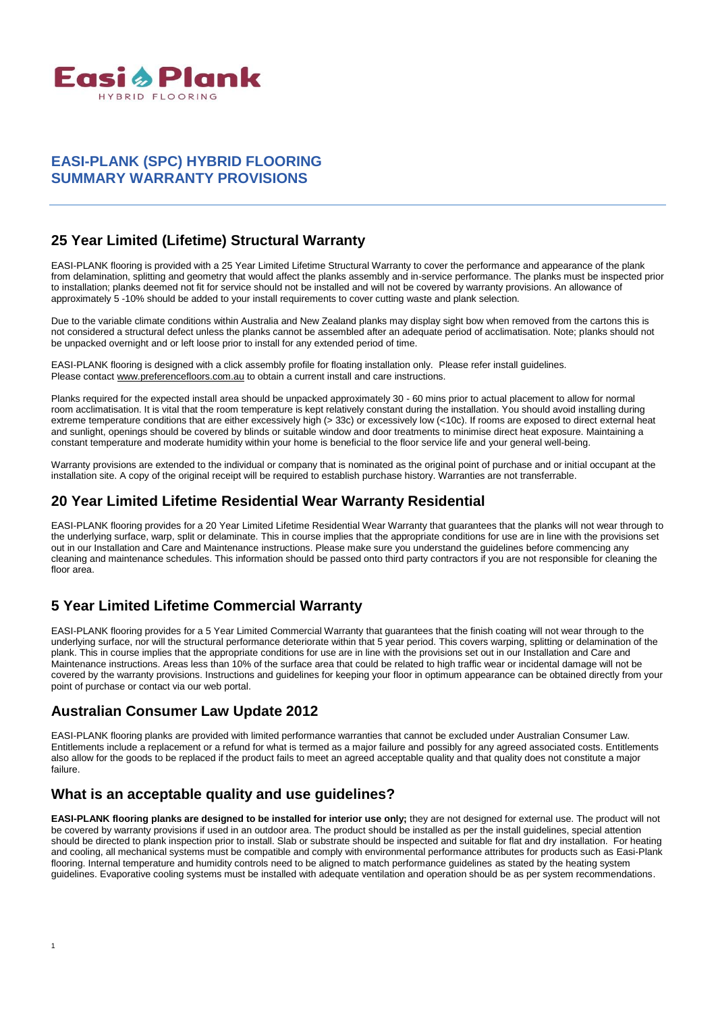

### **EASI-PLANK (SPC) HYBRID FLOORING SUMMARY WARRANTY PROVISIONS**

# **25 Year Limited (Lifetime) Structural Warranty**

EASI-PLANK flooring is provided with a 25 Year Limited Lifetime Structural Warranty to cover the performance and appearance of the plank from delamination, splitting and geometry that would affect the planks assembly and in-service performance. The planks must be inspected prior to installation; planks deemed not fit for service should not be installed and will not be covered by warranty provisions. An allowance of approximately 5 -10% should be added to your install requirements to cover cutting waste and plank selection.

Due to the variable climate conditions within Australia and New Zealand planks may display sight bow when removed from the cartons this is not considered a structural defect unless the planks cannot be assembled after an adequate period of acclimatisation. Note; planks should not be unpacked overnight and or left loose prior to install for any extended period of time.

EASI-PLANK flooring is designed with a click assembly profile for floating installation only. Please refer install guidelines. Please contac[t www.preferencefloors.com.au](http://www.preferencefloors.com.au/) to obtain a current install and care instructions.

Planks required for the expected install area should be unpacked approximately 30 - 60 mins prior to actual placement to allow for normal room acclimatisation. It is vital that the room temperature is kept relatively constant during the installation. You should avoid installing during extreme temperature conditions that are either excessively high (> 33c) or excessively low (<10c). If rooms are exposed to direct external heat and sunlight, openings should be covered by blinds or suitable window and door treatments to minimise direct heat exposure. Maintaining a constant temperature and moderate humidity within your home is beneficial to the floor service life and your general well-being.

Warranty provisions are extended to the individual or company that is nominated as the original point of purchase and or initial occupant at the installation site. A copy of the original receipt will be required to establish purchase history. Warranties are not transferrable.

### **20 Year Limited Lifetime Residential Wear Warranty Residential**

EASI-PLANK flooring provides for a 20 Year Limited Lifetime Residential Wear Warranty that guarantees that the planks will not wear through to the underlying surface, warp, split or delaminate. This in course implies that the appropriate conditions for use are in line with the provisions set out in our Installation and Care and Maintenance instructions. Please make sure you understand the guidelines before commencing any cleaning and maintenance schedules. This information should be passed onto third party contractors if you are not responsible for cleaning the floor area.

# **5 Year Limited Lifetime Commercial Warranty**

EASI-PLANK flooring provides for a 5 Year Limited Commercial Warranty that guarantees that the finish coating will not wear through to the underlying surface, nor will the structural performance deteriorate within that 5 year period. This covers warping, splitting or delamination of the plank. This in course implies that the appropriate conditions for use are in line with the provisions set out in our Installation and Care and Maintenance instructions. Areas less than 10% of the surface area that could be related to high traffic wear or incidental damage will not be covered by the warranty provisions. Instructions and guidelines for keeping your floor in optimum appearance can be obtained directly from your point of purchase or contact via our web portal.

# **Australian Consumer Law Update 2012**

EASI-PLANK flooring planks are provided with limited performance warranties that cannot be excluded under Australian Consumer Law. Entitlements include a replacement or a refund for what is termed as a major failure and possibly for any agreed associated costs. Entitlements also allow for the goods to be replaced if the product fails to meet an agreed acceptable quality and that quality does not constitute a major failure.

# **What is an acceptable quality and use guidelines?**

**EASI-PLANK flooring planks are designed to be installed for interior use only;** they are not designed for external use. The product will not be covered by warranty provisions if used in an outdoor area. The product should be installed as per the install guidelines, special attention should be directed to plank inspection prior to install. Slab or substrate should be inspected and suitable for flat and dry installation. For heating and cooling, all mechanical systems must be compatible and comply with environmental performance attributes for products such as Easi-Plank flooring. Internal temperature and humidity controls need to be aligned to match performance guidelines as stated by the heating system guidelines. Evaporative cooling systems must be installed with adequate ventilation and operation should be as per system recommendations.